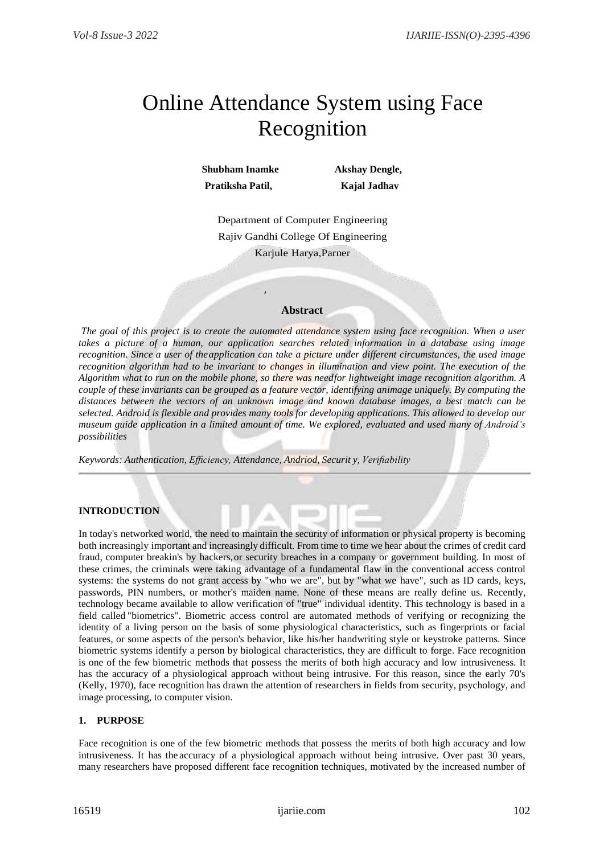# Online Attendance System using Face Recognition

**Shubham Inamke Akshay Dengle, Pratiksha Patil, Kajal Jadhav**

Department of Computer Engineering Rajiv Gandhi College Of Engineering Karjule Harya,Parner

# **Abstract**

,

*The goal of this project is to create the automated attendance system using face recognition. When a user takes a picture of a human, our application searches related information in a database using image recognition. Since a user of theapplication can take a picture under different circumstances, the used image recognition algorithm had to be invariant to changes in illumination and view point. The execution of the* Algorithm what to run on the mobile phone, so there was needfor lightweight image recognition algorithm. A *couple of these invariants can be grouped as a feature vector, identifying animage uniquely. By computing the distances between the vectors of an unknown image and known database images, a best match can be selected. Android is flexible and provides many tools for developing applications. This allowed to develop our museum guide application in a limited amount of time. We explored, evaluated and used many of Android's possibilities*

*Keywords: Authentication, Efficiency, Attendance, Andriod, Securit y, Verifiability*

# **INTRODUCTION**

In today's networked world, the need to maintain the security of information or physical property is becoming both increasingly important and increasingly difficult. From time to time we hear about the crimes of credit card fraud, computer breakin's by hackers,or security breaches in a company or government building. In most of these crimes, the criminals were taking advantage of a fundamental flaw in the conventional access control systems: the systems do not grant access by "who we are", but by "what we have", such as ID cards, keys, passwords, PIN numbers, or mother's maiden name. None of these means are really define us. Recently, technology became available to allow verification of "true" individual identity. This technology is based in a field called "biometrics". Biometric access control are automated methods of verifying or recognizing the identity of a living person on the basis of some physiological characteristics, such as fingerprints or facial features, or some aspects of the person's behavior, like his/her handwriting style or keystroke patterns. Since biometric systems identify a person by biological characteristics, they are difficult to forge. Face recognition is one of the few biometric methods that possess the merits of both high accuracy and low intrusiveness. It has the accuracy of a physiological approach without being intrusive. For this reason, since the early 70's (Kelly, 1970), face recognition has drawn the attention of researchers in fields from security, psychology, and image processing, to computer vision.

## **1. PURPOSE**

Face recognition is one of the few biometric methods that possess the merits of both high accuracy and low intrusiveness. It has the accuracy of a physiological approach without being intrusive. Over past 30 years, many researchers have proposed different face recognition techniques, motivated by the increased number of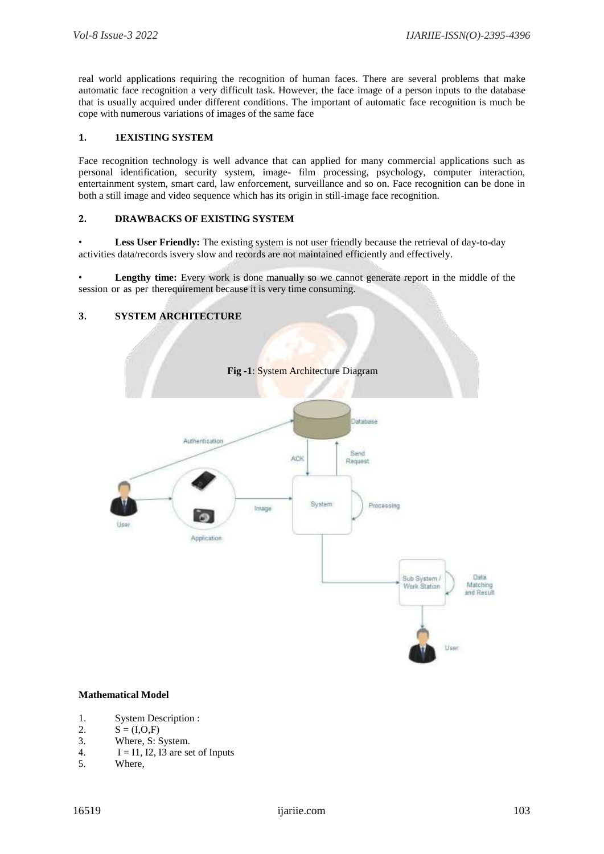real world applications requiring the recognition of human faces. There are several problems that make automatic face recognition a very difficult task. However, the face image of a person inputs to the database that is usually acquired under different conditions. The important of automatic face recognition is much be cope with numerous variations of images of the same face

## **1. 1EXISTING SYSTEM**

Face recognition technology is well advance that can applied for many commercial applications such as personal identification, security system, image- film processing, psychology, computer interaction, entertainment system, smart card, law enforcement, surveillance and so on. Face recognition can be done in both a still image and video sequence which has its origin in still-image face recognition.

### **2. DRAWBACKS OF EXISTING SYSTEM**

Less User Friendly: The existing system is not user friendly because the retrieval of day-to-day activities data/records isvery slow and records are not maintained efficiently and effectively.

• **Lengthy time:** Every work is done manually so we cannot generate report in the middle of the session or as per therequirement because it is very time consuming.

# **3. SYSTEM ARCHITECTURE**



#### **Mathematical Model**

- 1. System Description :<br>2.  $S = (LO.F)$
- $S = (I, O, F)$
- 3. Where, S: System.
- 4.  $I = I1$ , I2, I3 are set of Inputs
- 5. Where,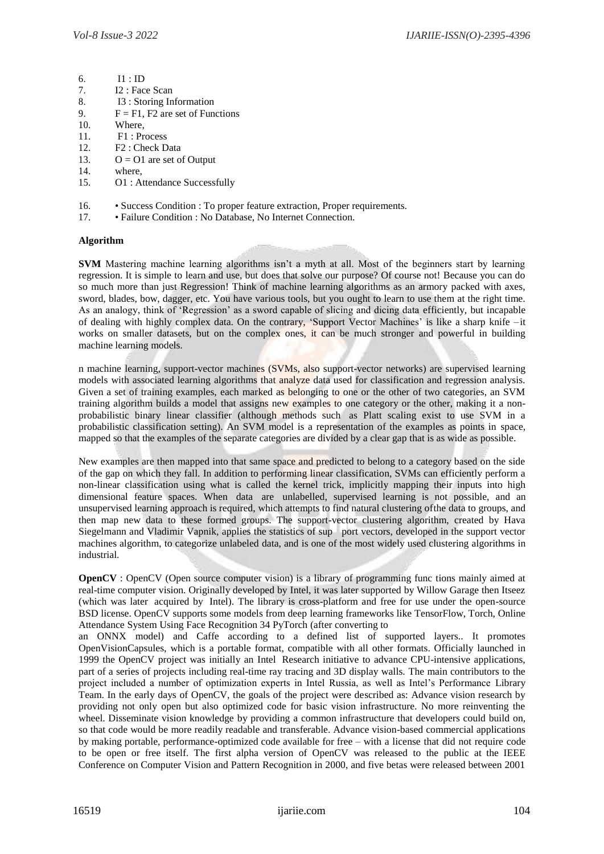- 6. I1 : ID
- 7. I2 : Face Scan
- 8. I3 : Storing Information
- 9.  $F = F1$ , F2 are set of Functions
- 10. Where,
- 11. F1 : Process
- 12. F2 : Check Data
- 13.  $Q = Q1$  are set of Output
- 14. where,
- 15. O1 : Attendance Successfully
- 16. Success Condition : To proper feature extraction, Proper requirements.
- 17. Failure Condition : No Database, No Internet Connection.

# **Algorithm**

**SVM** Mastering machine learning algorithms isn't a myth at all. Most of the beginners start by learning regression. It is simple to learn and use, but does that solve our purpose? Of course not! Because you can do so much more than just Regression! Think of machine learning algorithms as an armory packed with axes, sword, blades, bow, dagger, etc. You have various tools, but you ought to learn to use them at the right time. As an analogy, think of 'Regression' as a sword capable of slicing and dicing data efficiently, but incapable of dealing with highly complex data. On the contrary, 'Support Vector Machines' is like a sharp knife –it works on smaller datasets, but on the complex ones, it can be much stronger and powerful in building machine learning models.

n machine learning, support-vector machines (SVMs, also support-vector networks) are supervised learning models with associated learning algorithms that analyze data used for classification and regression analysis. Given a set of training examples, each marked as belonging to one or the other of two categories, an SVM training algorithm builds a model that assigns new examples to one category or the other, making it a nonprobabilistic binary linear classifier (although methods such as Platt scaling exist to use SVM in a probabilistic classification setting). An SVM model is a representation of the examples as points in space, mapped so that the examples of the separate categories are divided by a clear gap that is as wide as possible.

New examples are then mapped into that same space and predicted to belong to a category based on the side of the gap on which they fall. In addition to performing linear classification, SVMs can efficiently perform a non-linear classification using what is called the kernel trick, implicitly mapping their inputs into high dimensional feature spaces. When data are unlabelled, supervised learning is not possible, and an unsupervised learning approach is required, which attempts to find natural clustering ofthe data to groups, and then map new data to these formed groups. The support-vector clustering algorithm, created by Hava Siegelmann and Vladimir Vapnik, applies the statistics of sup port vectors, developed in the support vector machines algorithm, to categorize unlabeled data, and is one of the most widely used clustering algorithms in industrial.

**OpenCV** : OpenCV (Open source computer vision) is a library of programming func tions mainly aimed at real-time computer vision. Originally developed by Intel, it was later supported by Willow Garage then Itseez (which was later acquired by Intel). The library is cross-platform and free for use under the open-source BSD license. OpenCV supports some models from deep learning frameworks like TensorFlow, Torch, Online Attendance System Using Face Recognition 34 PyTorch (after converting to

an ONNX model) and Caffe according to a defined list of supported layers.. It promotes OpenVisionCapsules, which is a portable format, compatible with all other formats. Officially launched in 1999 the OpenCV project was initially an Intel Research initiative to advance CPU-intensive applications, part of a series of projects including real-time ray tracing and 3D display walls. The main contributors to the project included a number of optimization experts in Intel Russia, as well as Intel's Performance Library Team. In the early days of OpenCV, the goals of the project were described as: Advance vision research by providing not only open but also optimized code for basic vision infrastructure. No more reinventing the wheel. Disseminate vision knowledge by providing a common infrastructure that developers could build on, so that code would be more readily readable and transferable. Advance vision-based commercial applications by making portable, performance-optimized code available for free – with a license that did not require code to be open or free itself. The first alpha version of OpenCV was released to the public at the IEEE Conference on Computer Vision and Pattern Recognition in 2000, and five betas were released between 2001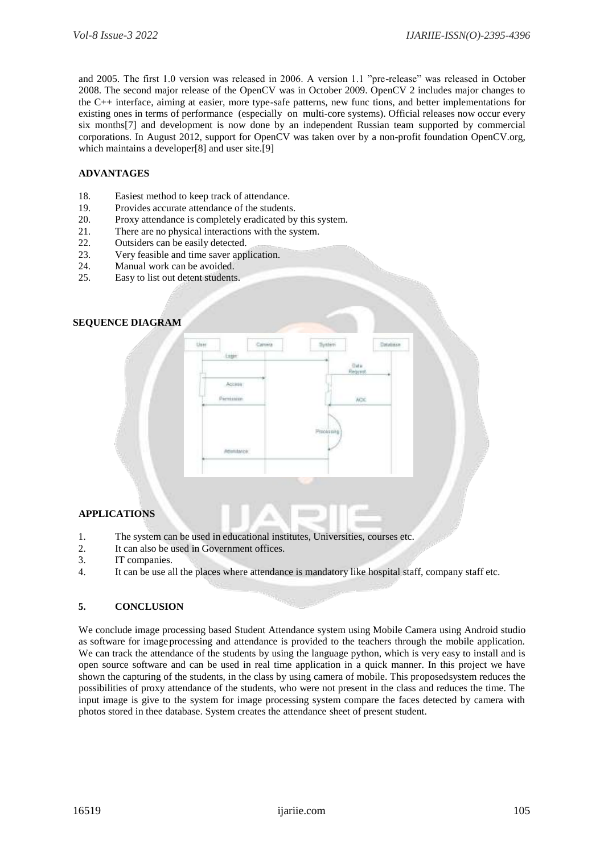and 2005. The first 1.0 version was released in 2006. A version 1.1 "pre-release" was released in October 2008. The second major release of the OpenCV was in October 2009. OpenCV 2 includes major changes to the C++ interface, aiming at easier, more type-safe patterns, new func tions, and better implementations for existing ones in terms of performance (especially on multi-core systems). Official releases now occur every six months[7] and development is now done by an independent Russian team supported by commercial corporations. In August 2012, support for OpenCV was taken over by a non-profit foundation OpenCV.org, which maintains a developer[8] and user site.[9]

# **ADVANTAGES**

- 18. Easiest method to keep track of attendance.
- 19. Provides accurate attendance of the students.
- 20. Proxy attendance is completely eradicated by this system.
- 21. There are no physical interactions with the system.
- 22. Outsiders can be easily detected.
- 23. Very feasible and time saver application.
- 24. Manual work can be avoided.
- 25. Easy to list out detent students.

# **SEQUENCE DIAGRAM**



## **APPLICATIONS**

- 1. The system can be used in educational institutes, Universities, courses etc.
- 2. It can also be used in Government offices.
- 3. IT companies.
- 4. It can be use all the places where attendance is mandatory like hospital staff, company staff etc.

## **5. CONCLUSION**

We conclude image processing based Student Attendance system using Mobile Camera using Android studio as software for imageprocessing and attendance is provided to the teachers through the mobile application. We can track the attendance of the students by using the language python, which is very easy to install and is open source software and can be used in real time application in a quick manner. In this project we have shown the capturing of the students, in the class by using camera of mobile. This proposedsystem reduces the possibilities of proxy attendance of the students, who were not present in the class and reduces the time. The input image is give to the system for image processing system compare the faces detected by camera with photos stored in thee database. System creates the attendance sheet of present student.